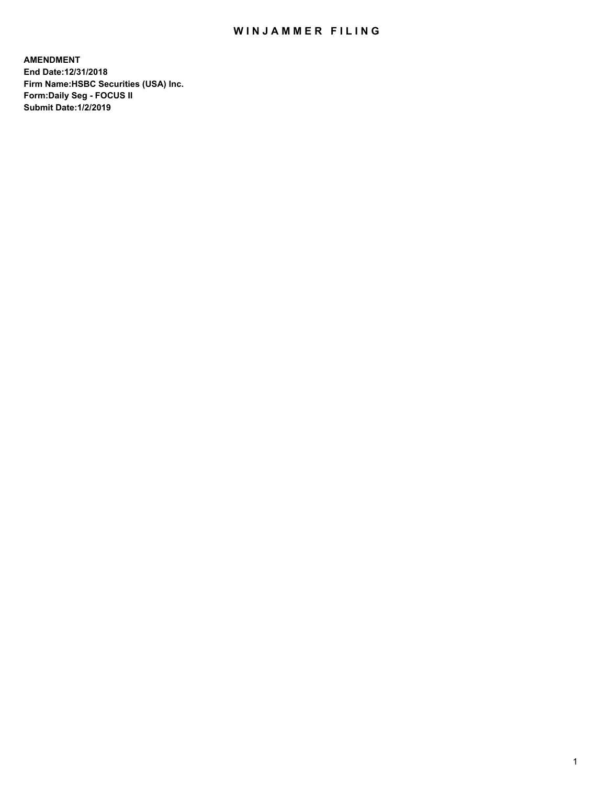## WIN JAMMER FILING

**AMENDMENT End Date:12/31/2018 Firm Name:HSBC Securities (USA) Inc. Form:Daily Seg - FOCUS II Submit Date:1/2/2019**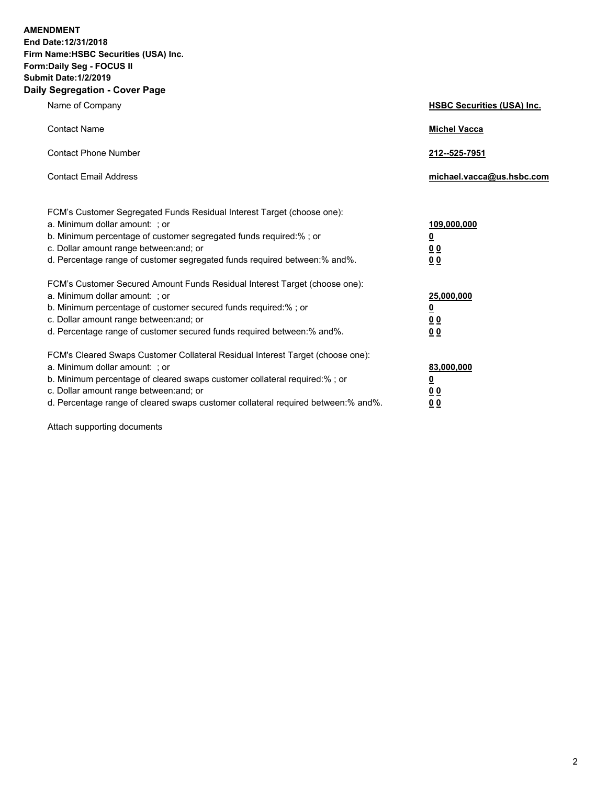**AMENDMENT** 

**End Date:12/31/2018 Firm Name:HSBC Securities (USA) Inc. Form:Daily Seg - FOCUS II Submit Date:1/2/2019 Daily Segregation - Cover Page**

| y Jegregation - Oover rage                                                                                                                                                                                                                                                                                                     |                                                                           |
|--------------------------------------------------------------------------------------------------------------------------------------------------------------------------------------------------------------------------------------------------------------------------------------------------------------------------------|---------------------------------------------------------------------------|
| Name of Company                                                                                                                                                                                                                                                                                                                | <b>HSBC Securities (USA) Inc.</b>                                         |
| <b>Contact Name</b>                                                                                                                                                                                                                                                                                                            | <b>Michel Vacca</b>                                                       |
| <b>Contact Phone Number</b>                                                                                                                                                                                                                                                                                                    | 212--525-7951                                                             |
| <b>Contact Email Address</b>                                                                                                                                                                                                                                                                                                   | michael.vacca@us.hsbc.com                                                 |
| FCM's Customer Segregated Funds Residual Interest Target (choose one):<br>a. Minimum dollar amount: ; or<br>b. Minimum percentage of customer segregated funds required:% ; or<br>c. Dollar amount range between: and; or<br>d. Percentage range of customer segregated funds required between:% and%.                         | 109,000,000<br><u>0</u><br>0 <sub>0</sub><br>0 <sub>0</sub>               |
| FCM's Customer Secured Amount Funds Residual Interest Target (choose one):<br>a. Minimum dollar amount: ; or<br>b. Minimum percentage of customer secured funds required:%; or<br>c. Dollar amount range between: and; or<br>d. Percentage range of customer secured funds required between:% and%.                            | 25,000,000<br><u>0</u><br>0 <sub>0</sub><br>0 <sub>0</sub>                |
| FCM's Cleared Swaps Customer Collateral Residual Interest Target (choose one):<br>a. Minimum dollar amount: : or<br>b. Minimum percentage of cleared swaps customer collateral required:% ; or<br>c. Dollar amount range between: and; or<br>d. Percentage range of cleared swaps customer collateral required between:% and%. | 83,000,000<br>$\overline{\mathbf{0}}$<br>0 <sub>0</sub><br>0 <sub>0</sub> |

Attach supporting documents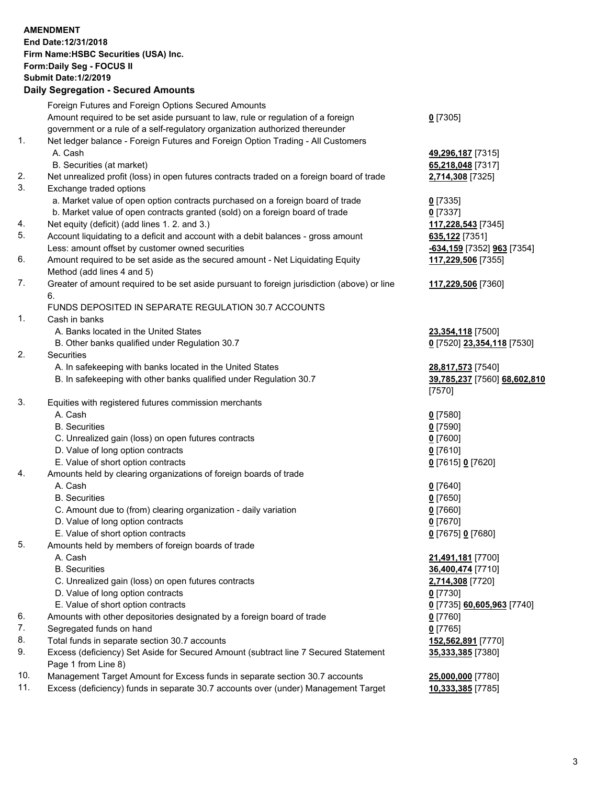|     | <b>AMENDMENT</b><br>End Date: 12/31/2018<br>Firm Name: HSBC Securities (USA) Inc.<br>Form: Daily Seg - FOCUS II<br><b>Submit Date: 1/2/2019</b><br><b>Daily Segregation - Secured Amounts</b> |                                                             |
|-----|-----------------------------------------------------------------------------------------------------------------------------------------------------------------------------------------------|-------------------------------------------------------------|
|     | Foreign Futures and Foreign Options Secured Amounts                                                                                                                                           |                                                             |
|     | Amount required to be set aside pursuant to law, rule or regulation of a foreign<br>government or a rule of a self-regulatory organization authorized thereunder                              | $0$ [7305]                                                  |
| 1.  | Net ledger balance - Foreign Futures and Foreign Option Trading - All Customers<br>A. Cash<br>B. Securities (at market)                                                                       | 49,296,187 [7315]<br>65,218,048 [7317]                      |
| 2.  | Net unrealized profit (loss) in open futures contracts traded on a foreign board of trade                                                                                                     | 2,714,308 [7325]                                            |
| 3.  | Exchange traded options<br>a. Market value of open option contracts purchased on a foreign board of trade                                                                                     | $0$ [7335]                                                  |
|     | b. Market value of open contracts granted (sold) on a foreign board of trade                                                                                                                  | $0$ [7337]                                                  |
| 4.  | Net equity (deficit) (add lines 1. 2. and 3.)                                                                                                                                                 | 117,228,543 [7345]                                          |
| 5.  | Account liquidating to a deficit and account with a debit balances - gross amount                                                                                                             | 635,122 [7351]                                              |
| 6.  | Less: amount offset by customer owned securities<br>Amount required to be set aside as the secured amount - Net Liquidating Equity                                                            | -634,159 [7352] 963 [7354]                                  |
|     | Method (add lines 4 and 5)                                                                                                                                                                    | 117,229,506 [7355]                                          |
| 7.  | Greater of amount required to be set aside pursuant to foreign jurisdiction (above) or line<br>6.                                                                                             | 117,229,506 [7360]                                          |
|     | FUNDS DEPOSITED IN SEPARATE REGULATION 30.7 ACCOUNTS                                                                                                                                          |                                                             |
| 1.  | Cash in banks                                                                                                                                                                                 |                                                             |
|     | A. Banks located in the United States                                                                                                                                                         | 23,354,118 [7500]                                           |
|     | B. Other banks qualified under Regulation 30.7                                                                                                                                                | 0 [7520] 23,354,118 [7530]                                  |
| 2.  | Securities                                                                                                                                                                                    |                                                             |
|     | A. In safekeeping with banks located in the United States<br>B. In safekeeping with other banks qualified under Regulation 30.7                                                               | 28,817,573 [7540]<br>39,785,237 [7560] 68,602,810<br>[7570] |
| 3.  | Equities with registered futures commission merchants                                                                                                                                         |                                                             |
|     | A. Cash                                                                                                                                                                                       | $0$ [7580]                                                  |
|     | <b>B.</b> Securities                                                                                                                                                                          | $0$ [7590]                                                  |
|     | C. Unrealized gain (loss) on open futures contracts                                                                                                                                           | $0$ [7600]                                                  |
|     | D. Value of long option contracts                                                                                                                                                             | $0$ [7610]                                                  |
|     | E. Value of short option contracts                                                                                                                                                            | 0 [7615] 0 [7620]                                           |
| 4.  | Amounts held by clearing organizations of foreign boards of trade                                                                                                                             |                                                             |
|     | A. Cash                                                                                                                                                                                       | $0$ [7640]                                                  |
|     | <b>B.</b> Securities                                                                                                                                                                          | $0$ [7650]                                                  |
|     | C. Amount due to (from) clearing organization - daily variation<br>D. Value of long option contracts                                                                                          | $0$ [7660]<br>$0$ [7670]                                    |
|     | E. Value of short option contracts                                                                                                                                                            | 0 [7675] 0 [7680]                                           |
| 5.  | Amounts held by members of foreign boards of trade                                                                                                                                            |                                                             |
|     | A. Cash                                                                                                                                                                                       | 21,491,181 [7700]                                           |
|     | <b>B.</b> Securities                                                                                                                                                                          | 36,400,474 [7710]                                           |
|     | C. Unrealized gain (loss) on open futures contracts                                                                                                                                           | 2,714,308 [7720]                                            |
|     | D. Value of long option contracts                                                                                                                                                             | $0$ [7730]                                                  |
|     | E. Value of short option contracts                                                                                                                                                            | 0 [7735] 60,605,963 [7740]                                  |
| 6.  | Amounts with other depositories designated by a foreign board of trade                                                                                                                        | 0 [7760]                                                    |
| 7.  | Segregated funds on hand                                                                                                                                                                      | $0$ [7765]                                                  |
| 8.  | Total funds in separate section 30.7 accounts                                                                                                                                                 | 152,562,891 [7770]                                          |
| 9.  | Excess (deficiency) Set Aside for Secured Amount (subtract line 7 Secured Statement<br>Page 1 from Line 8)                                                                                    | 35,333,385 [7380]                                           |
| 10. | Management Target Amount for Excess funds in separate section 30.7 accounts                                                                                                                   | 25,000,000 [7780]                                           |

11. Excess (deficiency) funds in separate 30.7 accounts over (under) Management Target **10,333,385** [7785]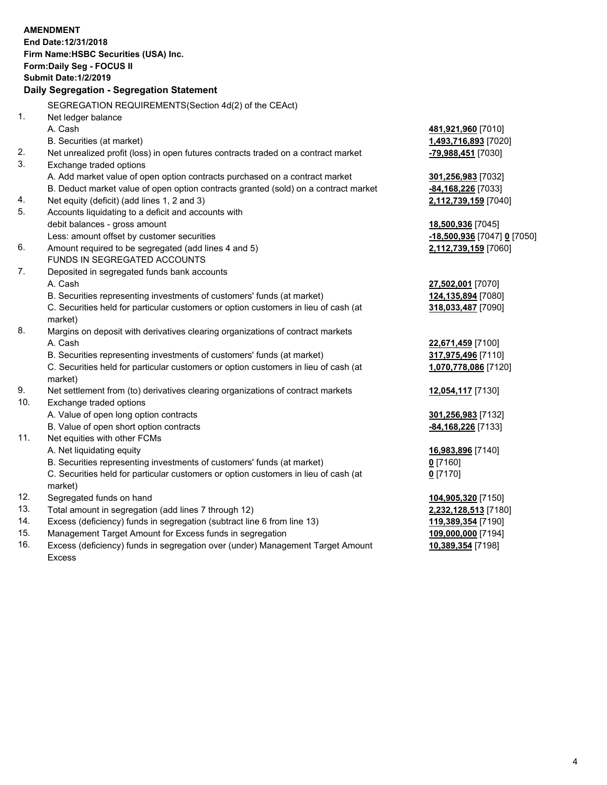|     | <b>AMENDMENT</b><br>End Date: 12/31/2018<br>Firm Name: HSBC Securities (USA) Inc.<br>Form: Daily Seg - FOCUS II<br><b>Submit Date: 1/2/2019</b><br>Daily Segregation - Segregation Statement |                                           |
|-----|----------------------------------------------------------------------------------------------------------------------------------------------------------------------------------------------|-------------------------------------------|
|     | SEGREGATION REQUIREMENTS(Section 4d(2) of the CEAct)                                                                                                                                         |                                           |
| 1.  | Net ledger balance                                                                                                                                                                           |                                           |
|     | A. Cash                                                                                                                                                                                      | 481,921,960 [7010]                        |
|     | B. Securities (at market)                                                                                                                                                                    | 1,493,716,893 [7020]                      |
| 2.  | Net unrealized profit (loss) in open futures contracts traded on a contract market                                                                                                           | -79,988,451 [7030]                        |
| 3.  | Exchange traded options                                                                                                                                                                      |                                           |
|     | A. Add market value of open option contracts purchased on a contract market                                                                                                                  | 301,256,983 [7032]                        |
|     | B. Deduct market value of open option contracts granted (sold) on a contract market                                                                                                          | -84,168,226 [7033]                        |
| 4.  | Net equity (deficit) (add lines 1, 2 and 3)                                                                                                                                                  | 2,112,739,159 [7040]                      |
| 5.  | Accounts liquidating to a deficit and accounts with                                                                                                                                          |                                           |
|     | debit balances - gross amount                                                                                                                                                                | 18,500,936 [7045]                         |
|     | Less: amount offset by customer securities                                                                                                                                                   | <u>-18,500,936</u> [7047] <u>0</u> [7050] |
| 6.  | Amount required to be segregated (add lines 4 and 5)                                                                                                                                         | 2,112,739,159 [7060]                      |
|     | FUNDS IN SEGREGATED ACCOUNTS                                                                                                                                                                 |                                           |
| 7.  | Deposited in segregated funds bank accounts                                                                                                                                                  |                                           |
|     | A. Cash                                                                                                                                                                                      | 27,502,001 [7070]                         |
|     | B. Securities representing investments of customers' funds (at market)                                                                                                                       | 124,135,894 [7080]                        |
|     | C. Securities held for particular customers or option customers in lieu of cash (at                                                                                                          | 318,033,487 [7090]                        |
|     | market)                                                                                                                                                                                      |                                           |
| 8.  | Margins on deposit with derivatives clearing organizations of contract markets                                                                                                               |                                           |
|     | A. Cash                                                                                                                                                                                      | 22,671,459 [7100]                         |
|     | B. Securities representing investments of customers' funds (at market)                                                                                                                       | 317,975,496 [7110]                        |
|     | C. Securities held for particular customers or option customers in lieu of cash (at                                                                                                          | 1,070,778,086 [7120]                      |
|     | market)                                                                                                                                                                                      |                                           |
| 9.  | Net settlement from (to) derivatives clearing organizations of contract markets                                                                                                              | 12,054,117 [7130]                         |
| 10. | Exchange traded options                                                                                                                                                                      |                                           |
|     | A. Value of open long option contracts                                                                                                                                                       | 301,256,983 [7132]                        |
| 11. | B. Value of open short option contracts                                                                                                                                                      | -84, 168, 226 [7133]                      |
|     | Net equities with other FCMs<br>A. Net liquidating equity                                                                                                                                    |                                           |
|     | B. Securities representing investments of customers' funds (at market)                                                                                                                       | 16,983,896 [7140]<br>$0$ [7160]           |
|     | C. Securities held for particular customers or option customers in lieu of cash (at                                                                                                          | $0$ [7170]                                |
|     | market)                                                                                                                                                                                      |                                           |
| 12. | Segregated funds on hand                                                                                                                                                                     | 104,905,320 [7150]                        |
| 13. | Total amount in segregation (add lines 7 through 12)                                                                                                                                         | 2,232,128,513 [7180]                      |
| 14. | Excess (deficiency) funds in segregation (subtract line 6 from line 13)                                                                                                                      | 119,389,354 [7190]                        |
| 15. | Management Target Amount for Excess funds in segregation                                                                                                                                     | 109,000,000 [7194]                        |
| 16. | Excess (deficiency) funds in segregation over (under) Management Target Amount                                                                                                               | 10,389,354 [7198]                         |

16. Excess (deficiency) funds in segregation over (under) Management Target Amount Excess